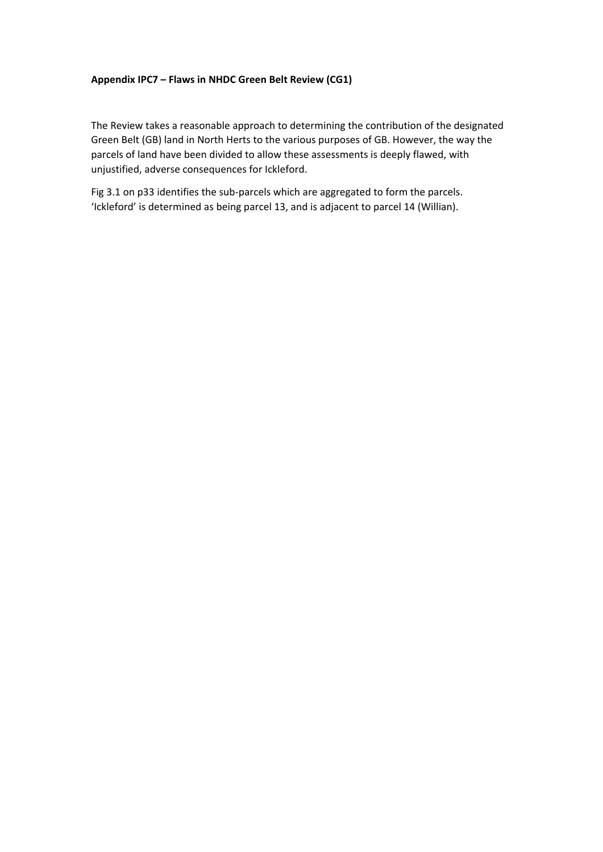## **Appendix IPC7 – Flaws in NHDC Green Belt Review (CG1)**

The Review takes a reasonable approach to determining the contribution of the designated Green Belt (GB) land in North Herts to the various purposes of GB. However, the way the parcels of land have been divided to allow these assessments is deeply flawed, with unjustified, adverse consequences for Ickleford.

Fig 3.1 on p33 identifies the sub-parcels which are aggregated to form the parcels. 'Ickleford' is determined as being parcel 13, and is adjacent to parcel 14 (Willian).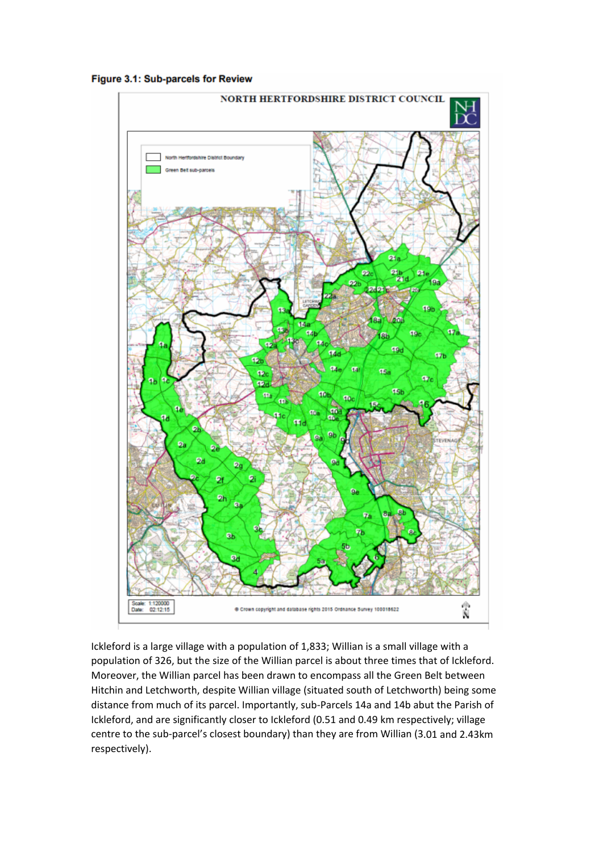



Ickleford is a large village with a population of 1,833; Willian is a small village with a population of 326, but the size of the Willian parcel is about three times that of Ickleford. Moreover, the Willian parcel has been drawn to encompass all the Green Belt between Hitchin and Letchworth, despite Willian village (situated south of Letchworth) being some distance from much of its parcel. Importantly, sub‐Parcels 14a and 14b abut the Parish of Ickleford, and are significantly closer to Ickleford (0.51 and 0.49 km respectively; village centre to the sub‐parcel's closest boundary) than they are from Willian (3.01 and 2.43km respectively).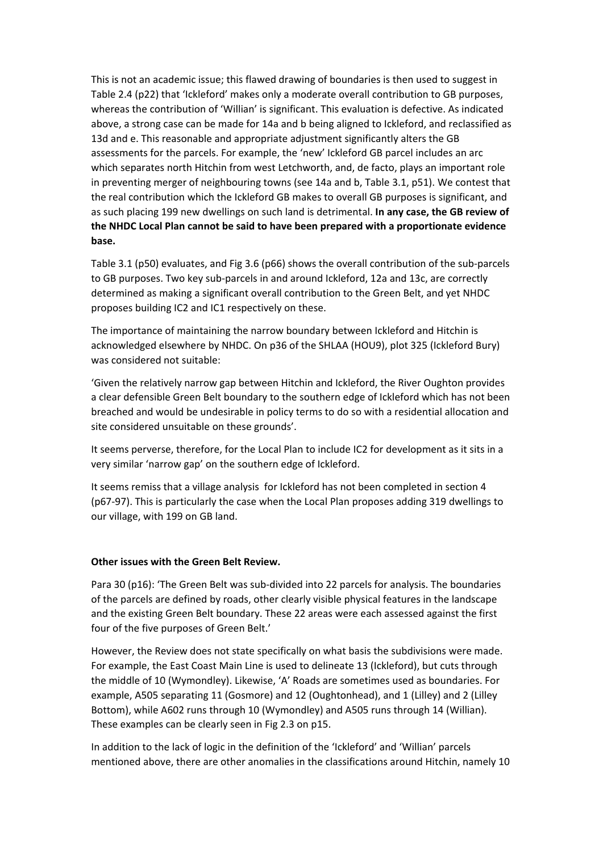This is not an academic issue; this flawed drawing of boundaries is then used to suggest in Table 2.4 (p22) that 'Ickleford' makes only a moderate overall contribution to GB purposes, whereas the contribution of 'Willian' is significant. This evaluation is defective. As indicated above, a strong case can be made for 14a and b being aligned to Ickleford, and reclassified as 13d and e. This reasonable and appropriate adjustment significantly alters the GB assessments for the parcels. For example, the 'new' Ickleford GB parcel includes an arc which separates north Hitchin from west Letchworth, and, de facto, plays an important role in preventing merger of neighbouring towns (see 14a and b, Table 3.1, p51). We contest that the real contribution which the Ickleford GB makes to overall GB purposes is significant, and as such placing 199 new dwellings on such land is detrimental. **In any case, the GB review of the NHDC Local Plan cannot be said to have been prepared with a proportionate evidence base.**

Table 3.1 (p50) evaluates, and Fig 3.6 (p66) shows the overall contribution of the sub‐parcels to GB purposes. Two key sub‐parcels in and around Ickleford, 12a and 13c, are correctly determined as making a significant overall contribution to the Green Belt, and yet NHDC proposes building IC2 and IC1 respectively on these.

The importance of maintaining the narrow boundary between Ickleford and Hitchin is acknowledged elsewhere by NHDC. On p36 of the SHLAA (HOU9), plot 325 (Ickleford Bury) was considered not suitable:

'Given the relatively narrow gap between Hitchin and Ickleford, the River Oughton provides a clear defensible Green Belt boundary to the southern edge of Ickleford which has not been breached and would be undesirable in policy terms to do so with a residential allocation and site considered unsuitable on these grounds'.

It seems perverse, therefore, for the Local Plan to include IC2 for development as it sits in a very similar 'narrow gap' on the southern edge of Ickleford.

It seems remiss that a village analysis for Ickleford has not been completed in section 4 (p67‐97). This is particularly the case when the Local Plan proposes adding 319 dwellings to our village, with 199 on GB land.

## **Other issues with the Green Belt Review.**

Para 30 (p16): 'The Green Belt was sub‐divided into 22 parcels for analysis. The boundaries of the parcels are defined by roads, other clearly visible physical features in the landscape and the existing Green Belt boundary. These 22 areas were each assessed against the first four of the five purposes of Green Belt.'

However, the Review does not state specifically on what basis the subdivisions were made. For example, the East Coast Main Line is used to delineate 13 (Ickleford), but cuts through the middle of 10 (Wymondley). Likewise, 'A' Roads are sometimes used as boundaries. For example, A505 separating 11 (Gosmore) and 12 (Oughtonhead), and 1 (Lilley) and 2 (Lilley Bottom), while A602 runs through 10 (Wymondley) and A505 runs through 14 (Willian). These examples can be clearly seen in Fig 2.3 on p15.

In addition to the lack of logic in the definition of the 'Ickleford' and 'Willian' parcels mentioned above, there are other anomalies in the classifications around Hitchin, namely 10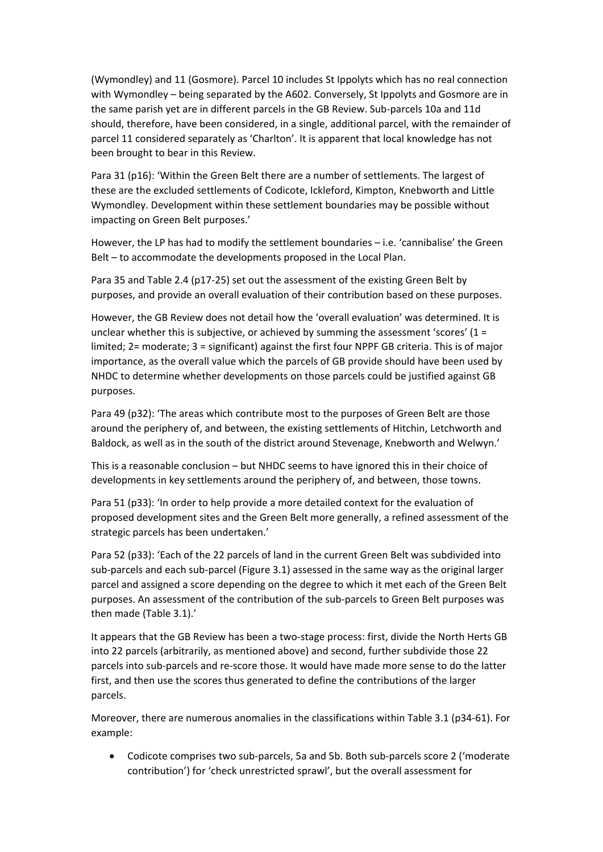(Wymondley) and 11 (Gosmore). Parcel 10 includes St Ippolyts which has no real connection with Wymondley – being separated by the A602. Conversely, St Ippolyts and Gosmore are in the same parish yet are in different parcels in the GB Review. Sub‐parcels 10a and 11d should, therefore, have been considered, in a single, additional parcel, with the remainder of parcel 11 considered separately as 'Charlton'. It is apparent that local knowledge has not been brought to bear in this Review.

Para 31 (p16): 'Within the Green Belt there are a number of settlements. The largest of these are the excluded settlements of Codicote, Ickleford, Kimpton, Knebworth and Little Wymondley. Development within these settlement boundaries may be possible without impacting on Green Belt purposes.'

However, the LP has had to modify the settlement boundaries – i.e. 'cannibalise' the Green Belt – to accommodate the developments proposed in the Local Plan.

Para 35 and Table 2.4 (p17‐25) set out the assessment of the existing Green Belt by purposes, and provide an overall evaluation of their contribution based on these purposes.

However, the GB Review does not detail how the 'overall evaluation' was determined. It is unclear whether this is subjective, or achieved by summing the assessment 'scores'  $(1 =$ limited; 2= moderate; 3 = significant) against the first four NPPF GB criteria. This is of major importance, as the overall value which the parcels of GB provide should have been used by NHDC to determine whether developments on those parcels could be justified against GB purposes.

Para 49 (p32): 'The areas which contribute most to the purposes of Green Belt are those around the periphery of, and between, the existing settlements of Hitchin, Letchworth and Baldock, as well as in the south of the district around Stevenage, Knebworth and Welwyn.'

This is a reasonable conclusion – but NHDC seems to have ignored this in their choice of developments in key settlements around the periphery of, and between, those towns.

Para 51 (p33): 'In order to help provide a more detailed context for the evaluation of proposed development sites and the Green Belt more generally, a refined assessment of the strategic parcels has been undertaken.'

Para 52 (p33): 'Each of the 22 parcels of land in the current Green Belt was subdivided into sub‐parcels and each sub‐parcel (Figure 3.1) assessed in the same way as the original larger parcel and assigned a score depending on the degree to which it met each of the Green Belt purposes. An assessment of the contribution of the sub‐parcels to Green Belt purposes was then made (Table 3.1).'

It appears that the GB Review has been a two‐stage process: first, divide the North Herts GB into 22 parcels (arbitrarily, as mentioned above) and second, further subdivide those 22 parcels into sub‐parcels and re‐score those. It would have made more sense to do the latter first, and then use the scores thus generated to define the contributions of the larger parcels.

Moreover, there are numerous anomalies in the classifications within Table 3.1 (p34‐61). For example:

 Codicote comprises two sub‐parcels, 5a and 5b. Both sub‐parcels score 2 ('moderate contribution') for 'check unrestricted sprawl', but the overall assessment for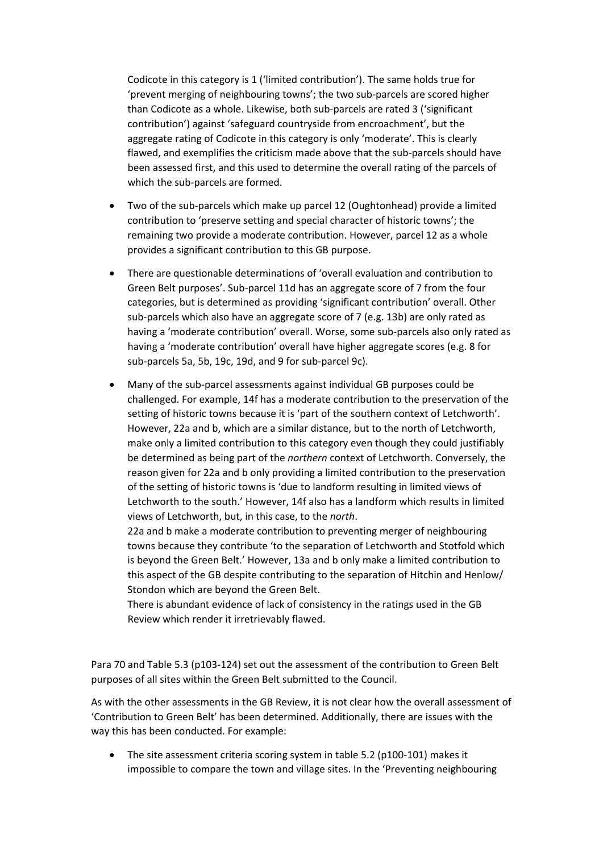Codicote in this category is 1 ('limited contribution'). The same holds true for 'prevent merging of neighbouring towns'; the two sub‐parcels are scored higher than Codicote as a whole. Likewise, both sub‐parcels are rated 3 ('significant contribution') against 'safeguard countryside from encroachment', but the aggregate rating of Codicote in this category is only 'moderate'. This is clearly flawed, and exemplifies the criticism made above that the sub-parcels should have been assessed first, and this used to determine the overall rating of the parcels of which the sub‐parcels are formed.

- Two of the sub‐parcels which make up parcel 12 (Oughtonhead) provide a limited contribution to 'preserve setting and special character of historic towns'; the remaining two provide a moderate contribution. However, parcel 12 as a whole provides a significant contribution to this GB purpose.
- There are questionable determinations of 'overall evaluation and contribution to Green Belt purposes'. Sub‐parcel 11d has an aggregate score of 7 from the four categories, but is determined as providing 'significant contribution' overall. Other sub-parcels which also have an aggregate score of 7 (e.g. 13b) are only rated as having a 'moderate contribution' overall. Worse, some sub‐parcels also only rated as having a 'moderate contribution' overall have higher aggregate scores (e.g. 8 for sub‐parcels 5a, 5b, 19c, 19d, and 9 for sub‐parcel 9c).
- Many of the sub‐parcel assessments against individual GB purposes could be challenged. For example, 14f has a moderate contribution to the preservation of the setting of historic towns because it is 'part of the southern context of Letchworth'. However, 22a and b, which are a similar distance, but to the north of Letchworth, make only a limited contribution to this category even though they could justifiably be determined as being part of the *northern* context of Letchworth. Conversely, the reason given for 22a and b only providing a limited contribution to the preservation of the setting of historic towns is 'due to landform resulting in limited views of Letchworth to the south.' However, 14f also has a landform which results in limited views of Letchworth, but, in this case, to the *north*.

22a and b make a moderate contribution to preventing merger of neighbouring towns because they contribute 'to the separation of Letchworth and Stotfold which is beyond the Green Belt.' However, 13a and b only make a limited contribution to this aspect of the GB despite contributing to the separation of Hitchin and Henlow/ Stondon which are beyond the Green Belt.

There is abundant evidence of lack of consistency in the ratings used in the GB Review which render it irretrievably flawed.

Para 70 and Table 5.3 (p103‐124) set out the assessment of the contribution to Green Belt purposes of all sites within the Green Belt submitted to the Council.

As with the other assessments in the GB Review, it is not clear how the overall assessment of 'Contribution to Green Belt' has been determined. Additionally, there are issues with the way this has been conducted. For example:

 The site assessment criteria scoring system in table 5.2 (p100‐101) makes it impossible to compare the town and village sites. In the 'Preventing neighbouring